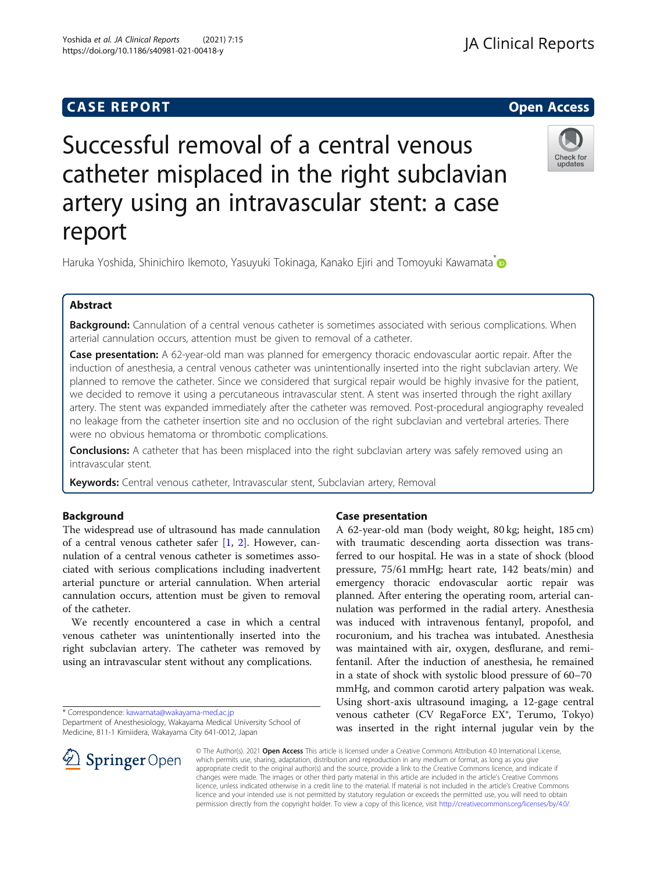Yoshida et al. JA Clinical Reports (2021) 7:15

## **CASE REPORT And SERVICE SERVICE SERVICE SERVICE SERVICE SERVICE SERVICE SERVICE SERVICE SERVICE SERVICE SERVICE**

# **JA Clinical Reports**

# Check for updates

Successful removal of a central venous catheter misplaced in the right subclavian artery using an intravascular stent: a case report

Haruka Yoshida, Shinichiro Ikemoto, Yasuyuki Tokinaga, Kanako Ejiri and Tomoyuki Kawamata<sup>[\\*](http://orcid.org/0000-0003-1535-6715)</sup>

### Abstract

Background: Cannulation of a central venous catheter is sometimes associated with serious complications. When arterial cannulation occurs, attention must be given to removal of a catheter.

Case presentation: A 62-year-old man was planned for emergency thoracic endovascular aortic repair. After the induction of anesthesia, a central venous catheter was unintentionally inserted into the right subclavian artery. We planned to remove the catheter. Since we considered that surgical repair would be highly invasive for the patient, we decided to remove it using a percutaneous intravascular stent. A stent was inserted through the right axillary artery. The stent was expanded immediately after the catheter was removed. Post-procedural angiography revealed no leakage from the catheter insertion site and no occlusion of the right subclavian and vertebral arteries. There were no obvious hematoma or thrombotic complications.

Conclusions: A catheter that has been misplaced into the right subclavian artery was safely removed using an intravascular stent.

Keywords: Central venous catheter, Intravascular stent, Subclavian artery, Removal

#### Background

The widespread use of ultrasound has made cannulation of a central venous catheter safer [[1,](#page-2-0) [2\]](#page-2-0). However, cannulation of a central venous catheter is sometimes associated with serious complications including inadvertent arterial puncture or arterial cannulation. When arterial cannulation occurs, attention must be given to removal of the catheter.

We recently encountered a case in which a central venous catheter was unintentionally inserted into the right subclavian artery. The catheter was removed by using an intravascular stent without any complications.

\* Correspondence: [kawamata@wakayama-med.ac.jp](mailto:kawamata@wakayama-med.ac.jp)

#### Case presentation

A 62-year-old man (body weight, 80 kg; height, 185 cm) with traumatic descending aorta dissection was transferred to our hospital. He was in a state of shock (blood pressure, 75/61 mmHg; heart rate, 142 beats/min) and emergency thoracic endovascular aortic repair was planned. After entering the operating room, arterial cannulation was performed in the radial artery. Anesthesia was induced with intravenous fentanyl, propofol, and rocuronium, and his trachea was intubated. Anesthesia was maintained with air, oxygen, desflurane, and remifentanil. After the induction of anesthesia, he remained in a state of shock with systolic blood pressure of 60–70 mmHg, and common carotid artery palpation was weak. Using short-axis ultrasound imaging, a 12-gage central venous catheter (CV RegaForce EX®, Terumo, Tokyo) was inserted in the right internal jugular vein by the



© The Author(s). 2021 Open Access This article is licensed under a Creative Commons Attribution 4.0 International License, which permits use, sharing, adaptation, distribution and reproduction in any medium or format, as long as you give appropriate credit to the original author(s) and the source, provide a link to the Creative Commons licence, and indicate if changes were made. The images or other third party material in this article are included in the article's Creative Commons licence, unless indicated otherwise in a credit line to the material. If material is not included in the article's Creative Commons licence and your intended use is not permitted by statutory regulation or exceeds the permitted use, you will need to obtain permission directly from the copyright holder. To view a copy of this licence, visit <http://creativecommons.org/licenses/by/4.0/>.

Department of Anesthesiology, Wakayama Medical University School of Medicine, 811-1 Kimiidera, Wakayama City 641-0012, Japan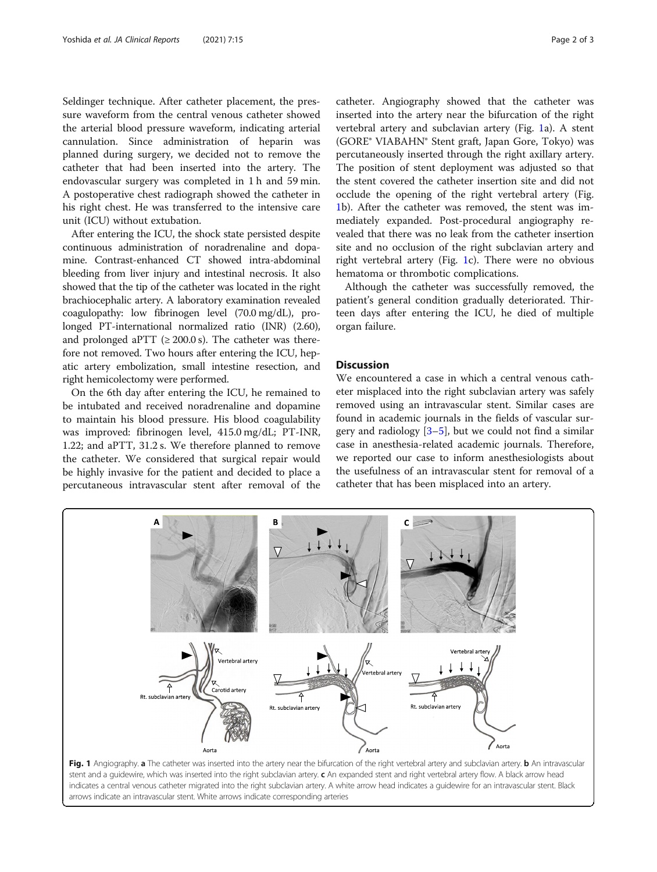Seldinger technique. After catheter placement, the pressure waveform from the central venous catheter showed the arterial blood pressure waveform, indicating arterial cannulation. Since administration of heparin was planned during surgery, we decided not to remove the catheter that had been inserted into the artery. The endovascular surgery was completed in 1 h and 59 min. A postoperative chest radiograph showed the catheter in his right chest. He was transferred to the intensive care unit (ICU) without extubation.

After entering the ICU, the shock state persisted despite continuous administration of noradrenaline and dopamine. Contrast-enhanced CT showed intra-abdominal bleeding from liver injury and intestinal necrosis. It also showed that the tip of the catheter was located in the right brachiocephalic artery. A laboratory examination revealed coagulopathy: low fibrinogen level (70.0 mg/dL), prolonged PT-international normalized ratio (INR) (2.60), and prolonged aPTT ( $\geq 200.0$  s). The catheter was therefore not removed. Two hours after entering the ICU, hepatic artery embolization, small intestine resection, and right hemicolectomy were performed.

On the 6th day after entering the ICU, he remained to be intubated and received noradrenaline and dopamine to maintain his blood pressure. His blood coagulability was improved: fibrinogen level, 415.0 mg/dL; PT-INR, 1.22; and aPTT, 31.2 s. We therefore planned to remove the catheter. We considered that surgical repair would be highly invasive for the patient and decided to place a percutaneous intravascular stent after removal of the

catheter. Angiography showed that the catheter was inserted into the artery near the bifurcation of the right vertebral artery and subclavian artery (Fig. 1a). A stent (GORE® VIABAHN® Stent graft, Japan Gore, Tokyo) was percutaneously inserted through the right axillary artery. The position of stent deployment was adjusted so that the stent covered the catheter insertion site and did not occlude the opening of the right vertebral artery (Fig. 1b). After the catheter was removed, the stent was immediately expanded. Post-procedural angiography revealed that there was no leak from the catheter insertion site and no occlusion of the right subclavian artery and right vertebral artery (Fig. 1c). There were no obvious hematoma or thrombotic complications.

Although the catheter was successfully removed, the patient's general condition gradually deteriorated. Thirteen days after entering the ICU, he died of multiple organ failure.

#### **Discussion**

We encountered a case in which a central venous catheter misplaced into the right subclavian artery was safely removed using an intravascular stent. Similar cases are found in academic journals in the fields of vascular surgery and radiology  $[3-5]$  $[3-5]$  $[3-5]$  $[3-5]$ , but we could not find a similar case in anesthesia-related academic journals. Therefore, we reported our case to inform anesthesiologists about the usefulness of an intravascular stent for removal of a catheter that has been misplaced into an artery.